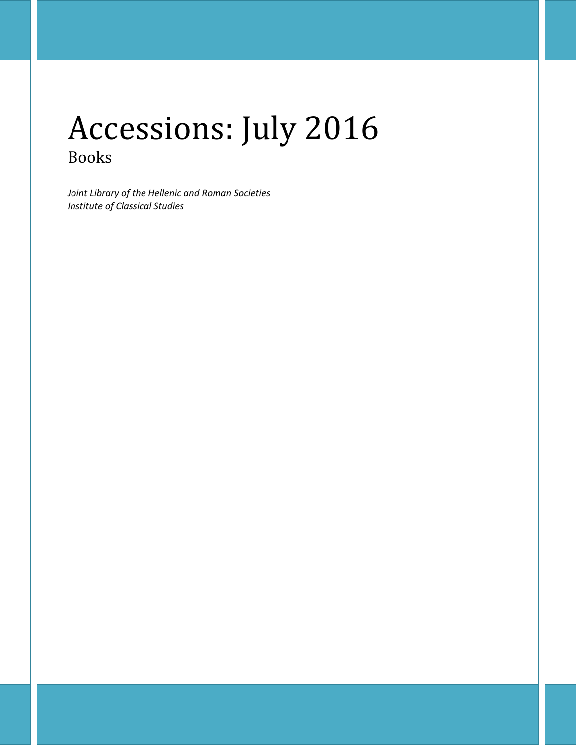# Accessions: July 2016 Books

*Joint Library of the Hellenic and Roman Societies Institute of Classical Studies*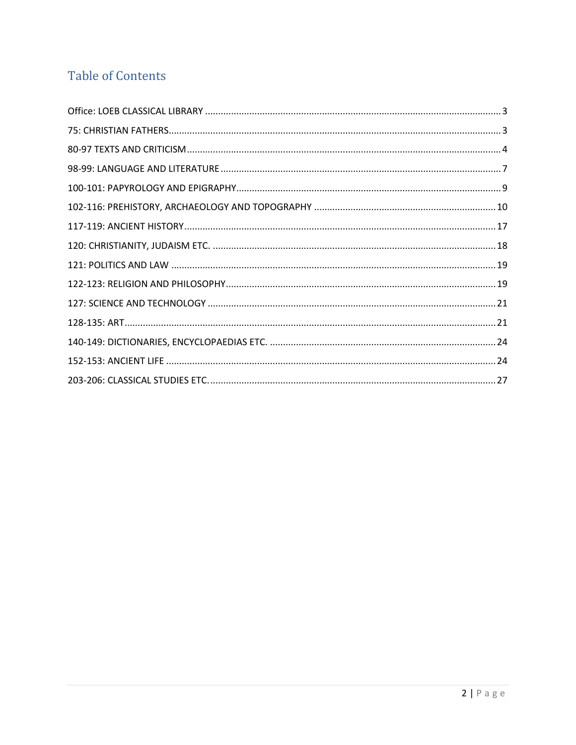## **Table of Contents**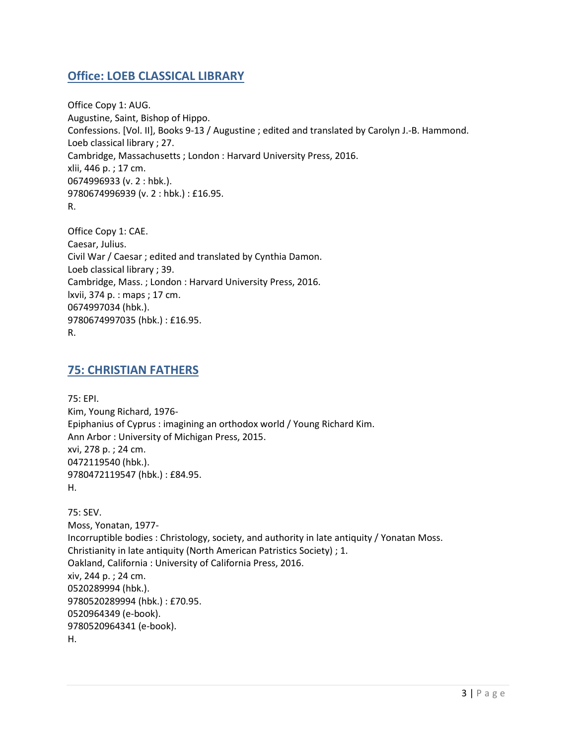## <span id="page-2-0"></span>**Office: LOEB CLASSICAL LIBRARY**

Office Copy 1: AUG. Augustine, Saint, Bishop of Hippo. Confessions. [Vol. II], Books 9-13 / Augustine ; edited and translated by Carolyn J.-B. Hammond. Loeb classical library ; 27. Cambridge, Massachusetts ; London : Harvard University Press, 2016. xlii, 446 p. ; 17 cm. 0674996933 (v. 2 : hbk.). 9780674996939 (v. 2 : hbk.) : £16.95. R.

Office Copy 1: CAE. Caesar, Julius. Civil War / Caesar ; edited and translated by Cynthia Damon. Loeb classical library ; 39. Cambridge, Mass. ; London : Harvard University Press, 2016. lxvii, 374 p. : maps ; 17 cm. 0674997034 (hbk.). 9780674997035 (hbk.) : £16.95. R.

### <span id="page-2-1"></span>**75: CHRISTIAN FATHERS**

75: EPI. Kim, Young Richard, 1976- Epiphanius of Cyprus : imagining an orthodox world / Young Richard Kim. Ann Arbor : University of Michigan Press, 2015. xvi, 278 p. ; 24 cm. 0472119540 (hbk.). 9780472119547 (hbk.) : £84.95. H.

75: SEV. Moss, Yonatan, 1977- Incorruptible bodies : Christology, society, and authority in late antiquity / Yonatan Moss. Christianity in late antiquity (North American Patristics Society) ; 1. Oakland, California : University of California Press, 2016. xiv, 244 p. ; 24 cm. 0520289994 (hbk.). 9780520289994 (hbk.) : £70.95. 0520964349 (e-book). 9780520964341 (e-book). H.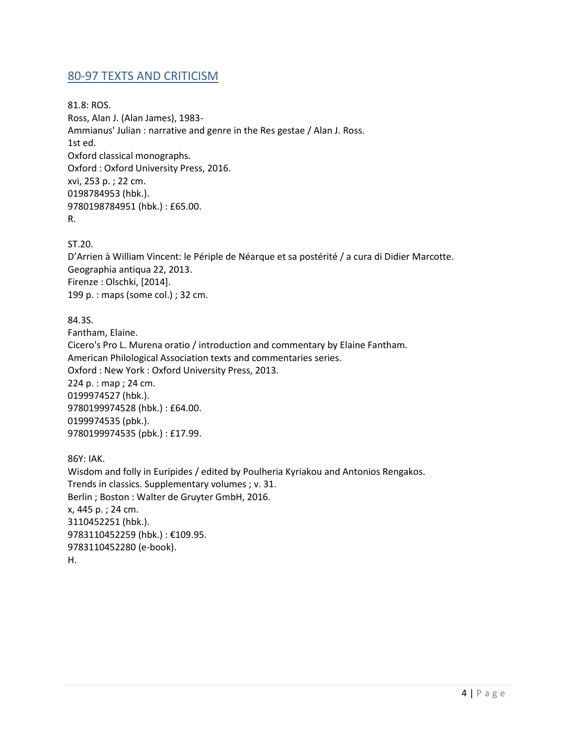## <span id="page-3-0"></span>80-97 TEXTS AND CRITICISM

81.8: ROS. Ross, Alan J. (Alan James), 1983- Ammianus' Julian : narrative and genre in the Res gestae / Alan J. Ross. 1st ed. Oxford classical monographs. Oxford : Oxford University Press, 2016. xvi, 253 p. ; 22 cm. 0198784953 (hbk.). 9780198784951 (hbk.) : £65.00. R.

ST.20.

D'Arrien à William Vincent: le Périple de Néarque et sa postérité / a cura di Didier Marcotte. Geographia antiqua 22, 2013. Firenze : Olschki, [2014]. 199 p. : maps (some col.) ; 32 cm.

84.3S.

Fantham, Elaine. Cicero's Pro L. Murena oratio / introduction and commentary by Elaine Fantham. American Philological Association texts and commentaries series. Oxford : New York : Oxford University Press, 2013. 224 p. : map ; 24 cm. 0199974527 (hbk.). 9780199974528 (hbk.) : £64.00. 0199974535 (pbk.). 9780199974535 (pbk.) : £17.99.

86Y: IAK. Wisdom and folly in Euripides / edited by Poulheria Kyriakou and Antonios Rengakos. Trends in classics. Supplementary volumes ; v. 31. Berlin ; Boston : Walter de Gruyter GmbH, 2016. x, 445 p. ; 24 cm. 3110452251 (hbk.). 9783110452259 (hbk.) : €109.95. 9783110452280 (e-book). H.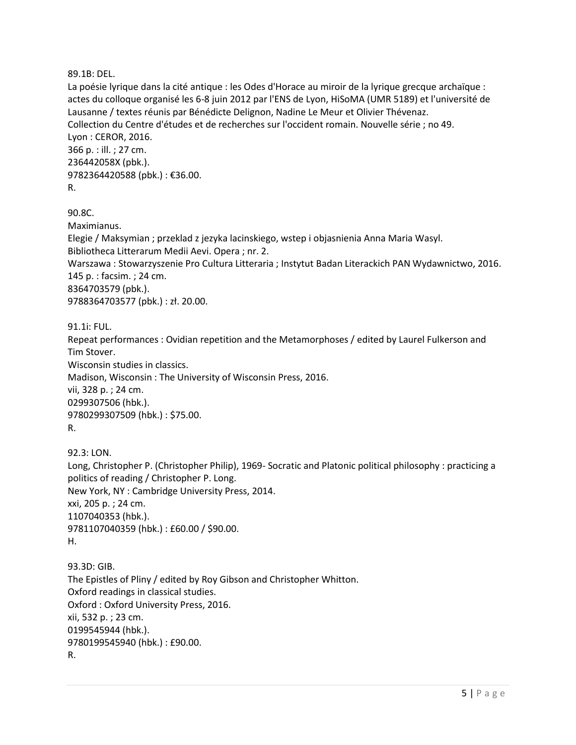89.1B: DEL.

La poésie lyrique dans la cité antique : les Odes d'Horace au miroir de la lyrique grecque archaïque : actes du colloque organisé les 6-8 juin 2012 par l'ENS de Lyon, HiSoMA (UMR 5189) et l'université de Lausanne / textes réunis par Bénédicte Delignon, Nadine Le Meur et Olivier Thévenaz. Collection du Centre d'études et de recherches sur l'occident romain. Nouvelle série ; no 49. Lyon : CEROR, 2016. 366 p. : ill. ; 27 cm. 236442058X (pbk.). 9782364420588 (pbk.) : €36.00. R.

90.8C. Maximianus. Elegie / Maksymian ; przeklad z jezyka lacinskiego, wstep i objasnienia Anna Maria Wasyl. Bibliotheca Litterarum Medii Aevi. Opera ; nr. 2. Warszawa : Stowarzyszenie Pro Cultura Litteraria ; Instytut Badan Literackich PAN Wydawnictwo, 2016. 145 p. : facsim. ; 24 cm. 8364703579 (pbk.). 9788364703577 (pbk.) : zł. 20.00.

91.1i: FUL.

Repeat performances : Ovidian repetition and the Metamorphoses / edited by Laurel Fulkerson and Tim Stover. Wisconsin studies in classics. Madison, Wisconsin : The University of Wisconsin Press, 2016. vii, 328 p. ; 24 cm. 0299307506 (hbk.). 9780299307509 (hbk.) : \$75.00. R.

92.3: LON. Long, Christopher P. (Christopher Philip), 1969- Socratic and Platonic political philosophy : practicing a politics of reading / Christopher P. Long. New York, NY : Cambridge University Press, 2014. xxi, 205 p. ; 24 cm. 1107040353 (hbk.). 9781107040359 (hbk.) : £60.00 / \$90.00. H.

93.3D: GIB. The Epistles of Pliny / edited by Roy Gibson and Christopher Whitton. Oxford readings in classical studies. Oxford : Oxford University Press, 2016. xii, 532 p. ; 23 cm. 0199545944 (hbk.). 9780199545940 (hbk.) : £90.00. R.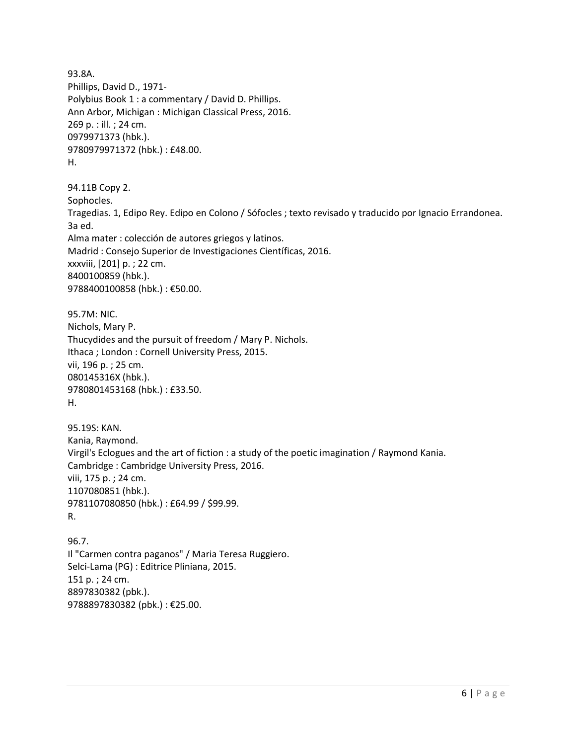93.8A. Phillips, David D., 1971- Polybius Book 1 : a commentary / David D. Phillips. Ann Arbor, Michigan : Michigan Classical Press, 2016. 269 p. : ill. ; 24 cm. 0979971373 (hbk.). 9780979971372 (hbk.) : £48.00. H. 94.11B Copy 2. Sophocles. Tragedias. 1, Edipo Rey. Edipo en Colono / Sófocles ; texto revisado y traducido por Ignacio Errandonea. 3a ed. Alma mater : colección de autores griegos y latinos. Madrid : Consejo Superior de Investigaciones Científicas, 2016. xxxviii, [201] p. ; 22 cm. 8400100859 (hbk.). 9788400100858 (hbk.) : €50.00. 95.7M: NIC. Nichols, Mary P. Thucydides and the pursuit of freedom / Mary P. Nichols. Ithaca ; London : Cornell University Press, 2015. vii, 196 p. ; 25 cm. 080145316X (hbk.). 9780801453168 (hbk.) : £33.50. H. 95.19S: KAN. Kania, Raymond. Virgil's Eclogues and the art of fiction : a study of the poetic imagination / Raymond Kania. Cambridge : Cambridge University Press, 2016. viii, 175 p. ; 24 cm. 1107080851 (hbk.). 9781107080850 (hbk.) : £64.99 / \$99.99. R. 96.7. Il "Carmen contra paganos" / Maria Teresa Ruggiero. Selci-Lama (PG) : Editrice Pliniana, 2015. 151 p. ; 24 cm.

8897830382 (pbk.). 9788897830382 (pbk.) : €25.00.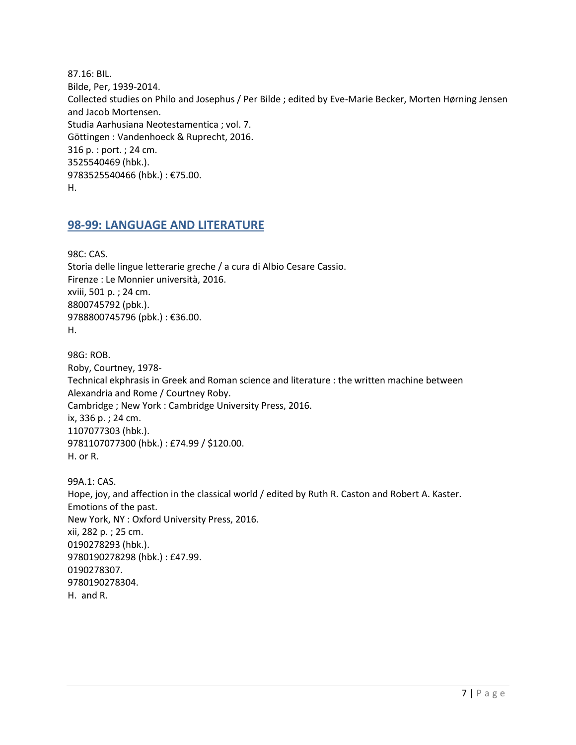87.16: BIL. Bilde, Per, 1939-2014. Collected studies on Philo and Josephus / Per Bilde ; edited by Eve-Marie Becker, Morten Hørning Jensen and Jacob Mortensen. Studia Aarhusiana Neotestamentica ; vol. 7. Göttingen : Vandenhoeck & Ruprecht, 2016. 316 p. : port. ; 24 cm. 3525540469 (hbk.). 9783525540466 (hbk.) : €75.00. H.

#### <span id="page-6-0"></span>**98-99: LANGUAGE AND LITERATURE**

98C: CAS. Storia delle lingue letterarie greche / a cura di Albio Cesare Cassio. Firenze : Le Monnier università, 2016. xviii, 501 p. ; 24 cm. 8800745792 (pbk.). 9788800745796 (pbk.): €36.00. H.

98G: ROB. Roby, Courtney, 1978- Technical ekphrasis in Greek and Roman science and literature : the written machine between Alexandria and Rome / Courtney Roby. Cambridge ; New York : Cambridge University Press, 2016. ix, 336 p. ; 24 cm. 1107077303 (hbk.). 9781107077300 (hbk.) : £74.99 / \$120.00. H. or R.

99A.1: CAS. Hope, joy, and affection in the classical world / edited by Ruth R. Caston and Robert A. Kaster. Emotions of the past. New York, NY : Oxford University Press, 2016. xii, 282 p. ; 25 cm. 0190278293 (hbk.). 9780190278298 (hbk.) : £47.99. 0190278307. 9780190278304. H. and R.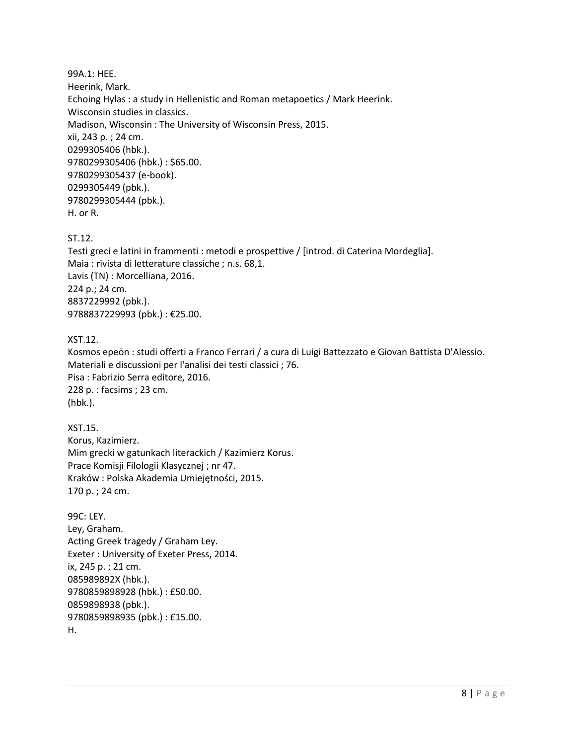99A.1: HEE. Heerink, Mark. Echoing Hylas : a study in Hellenistic and Roman metapoetics / Mark Heerink. Wisconsin studies in classics. Madison, Wisconsin : The University of Wisconsin Press, 2015. xii, 243 p. ; 24 cm. 0299305406 (hbk.). 9780299305406 (hbk.) : \$65.00. 9780299305437 (e-book). 0299305449 (pbk.). 9780299305444 (pbk.). H. or R.

ST.12.

Testi greci e latini in frammenti : metodi e prospettive / [introd. di Caterina Mordeglia]. Maia : rivista di letterature classiche ; n.s. 68,1. Lavis (TN) : Morcelliana, 2016. 224 p.; 24 cm. 8837229992 (pbk.). 9788837229993 (pbk.) : €25.00.

XST.12.

Kosmos epeōn : studi offerti a Franco Ferrari / a cura di Luigi Battezzato e Giovan Battista D'Alessio. Materiali e discussioni per l'analisi dei testi classici ; 76. Pisa : Fabrizio Serra editore, 2016. 228 p. : facsims ; 23 cm. (hbk.).

XST.15. Korus, Kazimierz. Mim grecki w gatunkach literackich / Kazimierz Korus. Prace Komisji Filologii Klasycznej ; nr 47. Kraków : Polska Akademia Umiejętności, 2015. 170 p. ; 24 cm.

99C: LEY. Ley, Graham. Acting Greek tragedy / Graham Ley. Exeter : University of Exeter Press, 2014. ix, 245 p. ; 21 cm. 085989892X (hbk.). 9780859898928 (hbk.) : £50.00. 0859898938 (pbk.). 9780859898935 (pbk.) : £15.00. H.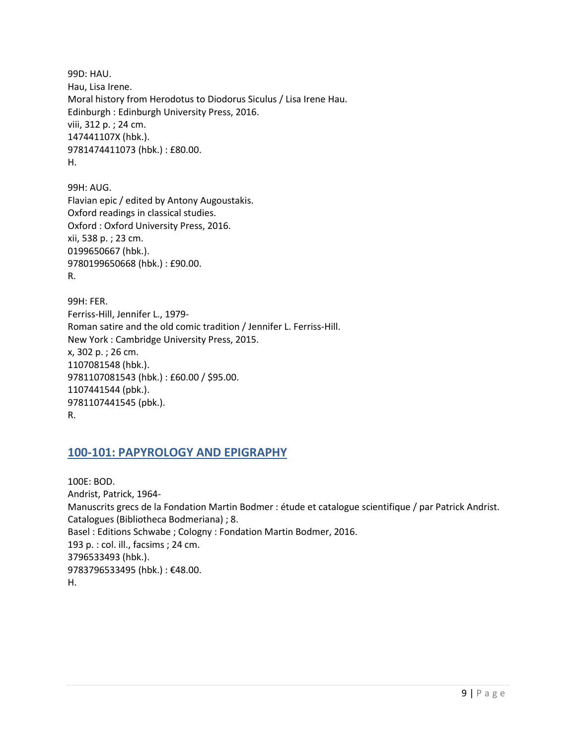99D: HAU. Hau, Lisa Irene. Moral history from Herodotus to Diodorus Siculus / Lisa Irene Hau. Edinburgh : Edinburgh University Press, 2016. viii, 312 p. ; 24 cm. 147441107X (hbk.). 9781474411073 (hbk.) : £80.00. H.

99H: AUG. Flavian epic / edited by Antony Augoustakis. Oxford readings in classical studies. Oxford : Oxford University Press, 2016. xii, 538 p. ; 23 cm. 0199650667 (hbk.). 9780199650668 (hbk.) : £90.00. R.

99H: FER. Ferriss-Hill, Jennifer L., 1979- Roman satire and the old comic tradition / Jennifer L. Ferriss-Hill. New York : Cambridge University Press, 2015. x, 302 p. ; 26 cm. 1107081548 (hbk.). 9781107081543 (hbk.) : £60.00 / \$95.00. 1107441544 (pbk.). 9781107441545 (pbk.). R.

## <span id="page-8-0"></span>**100-101: PAPYROLOGY AND EPIGRAPHY**

100E: BOD. Andrist, Patrick, 1964- Manuscrits grecs de la Fondation Martin Bodmer : étude et catalogue scientifique / par Patrick Andrist. Catalogues (Bibliotheca Bodmeriana) ; 8. Basel : Editions Schwabe ; Cologny : Fondation Martin Bodmer, 2016. 193 p. : col. ill., facsims ; 24 cm. 3796533493 (hbk.). 9783796533495 (hbk.) : €48.00. H.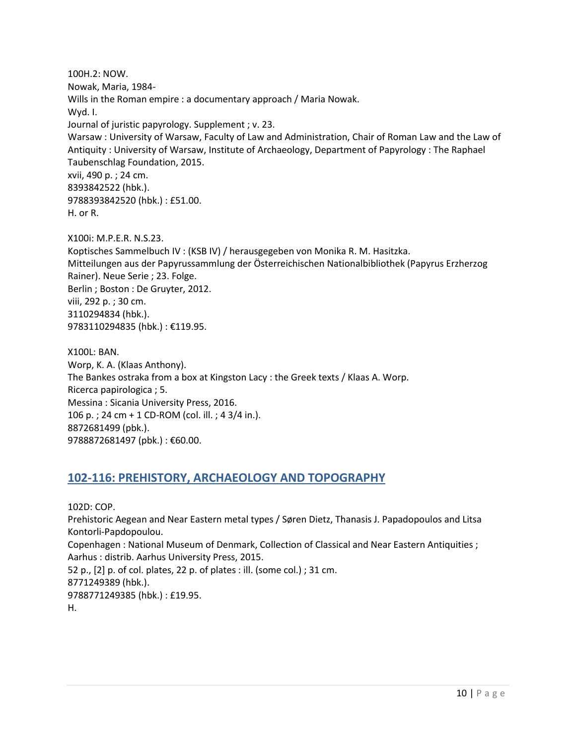100H.2: NOW. Nowak, Maria, 1984- Wills in the Roman empire : a documentary approach / Maria Nowak. Wyd. I. Journal of juristic papyrology. Supplement ; v. 23. Warsaw : University of Warsaw, Faculty of Law and Administration, Chair of Roman Law and the Law of Antiquity : University of Warsaw, Institute of Archaeology, Department of Papyrology : The Raphael Taubenschlag Foundation, 2015. xvii, 490 p. ; 24 cm. 8393842522 (hbk.). 9788393842520 (hbk.) : £51.00. H. or R.

X100i: M.P.E.R. N.S.23. Koptisches Sammelbuch IV : (KSB IV) / herausgegeben von Monika R. M. Hasitzka. Mitteilungen aus der Papyrussammlung der Österreichischen Nationalbibliothek (Papyrus Erzherzog Rainer). Neue Serie ; 23. Folge. Berlin ; Boston : De Gruyter, 2012. viii, 292 p. ; 30 cm. 3110294834 (hbk.). 9783110294835 (hbk.): €119.95.

X100L: BAN. Worp, K. A. (Klaas Anthony). The Bankes ostraka from a box at Kingston Lacy : the Greek texts / Klaas A. Worp. Ricerca papirologica ; 5. Messina : Sicania University Press, 2016. 106 p. ; 24 cm + 1 CD-ROM (col. ill. ; 4 3/4 in.). 8872681499 (pbk.). 9788872681497 (pbk.): €60.00.

### <span id="page-9-0"></span>**102-116: PREHISTORY, ARCHAEOLOGY AND TOPOGRAPHY**

102D: COP.

Prehistoric Aegean and Near Eastern metal types / Søren Dietz, Thanasis J. Papadopoulos and Litsa Kontorli-Papdopoulou. Copenhagen : National Museum of Denmark, Collection of Classical and Near Eastern Antiquities ;

Aarhus : distrib. Aarhus University Press, 2015. 52 p., [2] p. of col. plates, 22 p. of plates : ill. (some col.) ; 31 cm.

8771249389 (hbk.).

9788771249385 (hbk.) : £19.95.

H.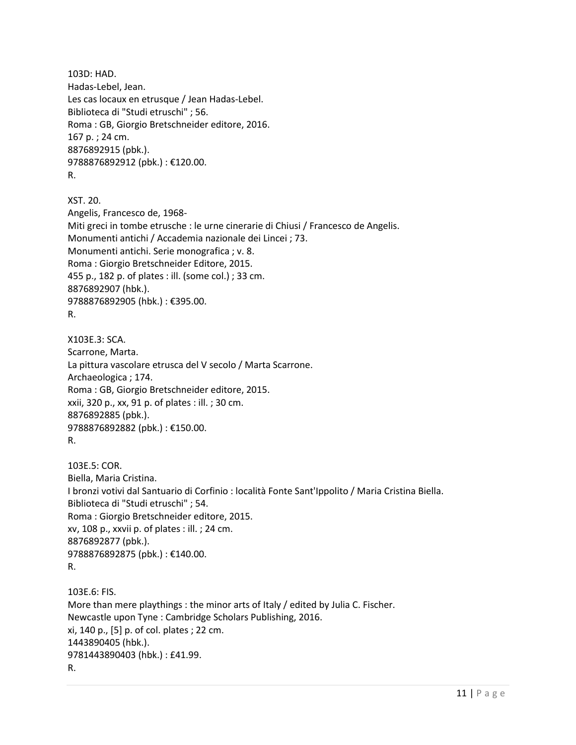```
103D: HAD. 
Hadas-Lebel, Jean.
Les cas locaux en etrusque / Jean Hadas-Lebel.
Biblioteca di "Studi etruschi" ; 56. 
Roma : GB, Giorgio Bretschneider editore, 2016.
167 p. ; 24 cm.
8876892915 (pbk.). 
9788876892912 (pbk.): €120.00.
R.
```

```
XST. 20. 
Angelis, Francesco de, 1968-
Miti greci in tombe etrusche : le urne cinerarie di Chiusi / Francesco de Angelis.
Monumenti antichi / Accademia nazionale dei Lincei ; 73.
Monumenti antichi. Serie monografica ; v. 8.
Roma : Giorgio Bretschneider Editore, 2015.
455 p., 182 p. of plates : ill. (some col.) ; 33 cm.
8876892907 (hbk.). 
9788876892905 (hbk.) : €395.00. 
R.
```

```
X103E.3: SCA. 
Scarrone, Marta.
La pittura vascolare etrusca del V secolo / Marta Scarrone.
Archaeologica ; 174.
Roma : GB, Giorgio Bretschneider editore, 2015.
xxii, 320 p., xx, 91 p. of plates : ill. ; 30 cm.
8876892885 (pbk.). 
9788876892882 (pbk.) : €150.00. 
R.
```

```
103E.5: COR. 
Biella, Maria Cristina.
I bronzi votivi dal Santuario di Corfinio : località Fonte Sant'Ippolito / Maria Cristina Biella.
Biblioteca di "Studi etruschi" ; 54. 
Roma : Giorgio Bretschneider editore, 2015.
xv, 108 p., xxvii p. of plates : ill. ; 24 cm.
8876892877 (pbk.). 
9788876892875 (pbk.) : €140.00. 
R.
```
103E.6: FIS. More than mere playthings : the minor arts of Italy / edited by Julia C. Fischer. Newcastle upon Tyne : Cambridge Scholars Publishing, 2016. xi, 140 p., [5] p. of col. plates ; 22 cm. 1443890405 (hbk.). 9781443890403 (hbk.) : £41.99. R.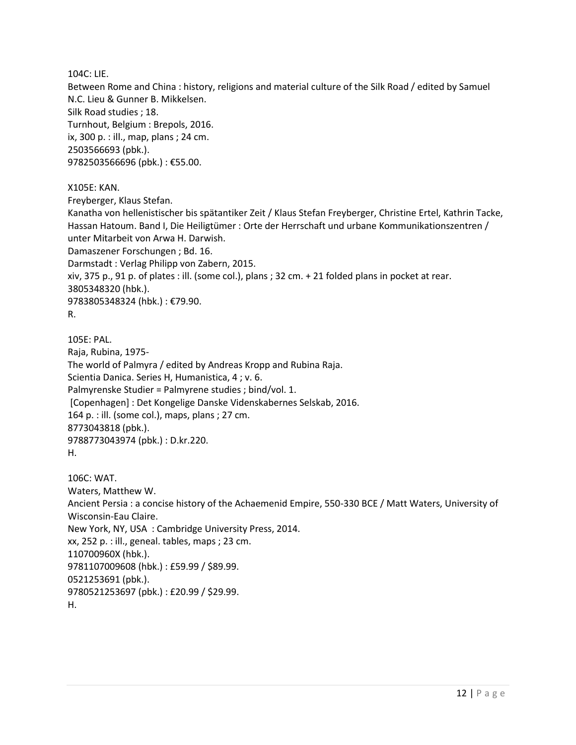104C: LIE.

Between Rome and China : history, religions and material culture of the Silk Road / edited by Samuel N.C. Lieu & Gunner B. Mikkelsen. Silk Road studies ; 18. Turnhout, Belgium : Brepols, 2016. ix, 300 p. : ill., map, plans ; 24 cm. 2503566693 (pbk.). 9782503566696 (pbk.) : €55.00.

X105E: KAN.

Freyberger, Klaus Stefan.

Kanatha von hellenistischer bis spätantiker Zeit / Klaus Stefan Freyberger, Christine Ertel, Kathrin Tacke, Hassan Hatoum. Band I, Die Heiligtümer : Orte der Herrschaft und urbane Kommunikationszentren / unter Mitarbeit von Arwa H. Darwish. Damaszener Forschungen ; Bd. 16. Darmstadt : Verlag Philipp von Zabern, 2015. xiv, 375 p., 91 p. of plates : ill. (some col.), plans ; 32 cm. + 21 folded plans in pocket at rear. 3805348320 (hbk.). 9783805348324 (hbk.) : €79.90. R.

105E: PAL. Raja, Rubina, 1975- The world of Palmyra / edited by Andreas Kropp and Rubina Raja. Scientia Danica. Series H, Humanistica, 4 ; v. 6. Palmyrenske Studier = Palmyrene studies ; bind/vol. 1. [Copenhagen] : Det Kongelige Danske Videnskabernes Selskab, 2016. 164 p. : ill. (some col.), maps, plans ; 27 cm. 8773043818 (pbk.). 9788773043974 (pbk.) : D.kr.220. H.

106C: WAT. Waters, Matthew W. Ancient Persia : a concise history of the Achaemenid Empire, 550-330 BCE / Matt Waters, University of Wisconsin-Eau Claire. New York, NY, USA : Cambridge University Press, 2014. xx, 252 p. : ill., geneal. tables, maps ; 23 cm. 110700960X (hbk.). 9781107009608 (hbk.) : £59.99 / \$89.99. 0521253691 (pbk.). 9780521253697 (pbk.) : £20.99 / \$29.99. H.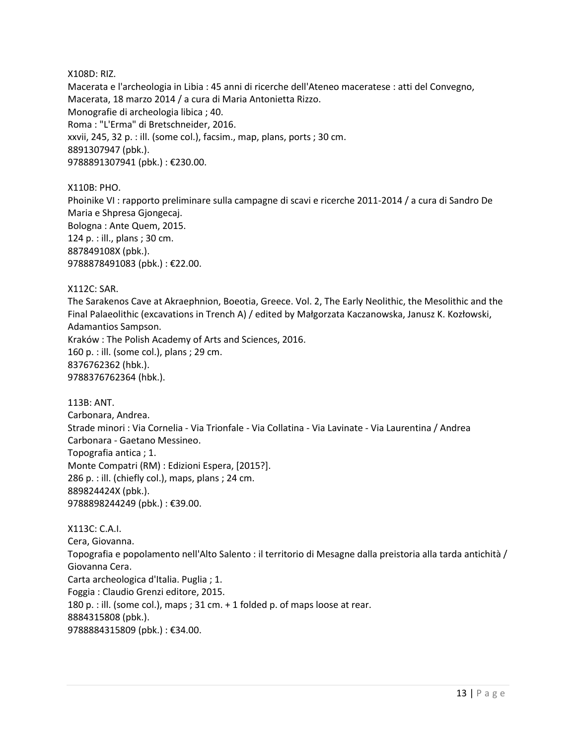#### X108D: RIZ.

Macerata e l'archeologia in Libia : 45 anni di ricerche dell'Ateneo maceratese : atti del Convegno, Macerata, 18 marzo 2014 / a cura di Maria Antonietta Rizzo. Monografie di archeologia libica ; 40. Roma : "L'Erma" di Bretschneider, 2016. xxvii, 245, 32 p. : ill. (some col.), facsim., map, plans, ports ; 30 cm. 8891307947 (pbk.). 9788891307941 (pbk.) : €230.00.

X110B: PHO. Phoinike VI : rapporto preliminare sulla campagne di scavi e ricerche 2011-2014 / a cura di Sandro De Maria e Shpresa Gjongecaj. Bologna : Ante Quem, 2015. 124 p. : ill., plans ; 30 cm. 887849108X (pbk.). 9788878491083 (pbk.) : €22.00.

#### X112C: SAR.

The Sarakenos Cave at Akraephnion, Boeotia, Greece. Vol. 2, The Early Neolithic, the Mesolithic and the Final Palaeolithic (excavations in Trench A) / edited by Małgorzata Kaczanowska, Janusz K. Kozłowski, Adamantios Sampson.

Kraków : The Polish Academy of Arts and Sciences, 2016. 160 p. : ill. (some col.), plans ; 29 cm. 8376762362 (hbk.). 9788376762364 (hbk.).

113B: ANT. Carbonara, Andrea. Strade minori : Via Cornelia - Via Trionfale - Via Collatina - Via Lavinate - Via Laurentina / Andrea Carbonara - Gaetano Messineo. Topografia antica ; 1. Monte Compatri (RM) : Edizioni Espera, [2015?]. 286 p. : ill. (chiefly col.), maps, plans ; 24 cm. 889824424X (pbk.). 9788898244249 (pbk.) : €39.00.

X113C: C.A.I. Cera, Giovanna. Topografia e popolamento nell'Alto Salento : il territorio di Mesagne dalla preistoria alla tarda antichità / Giovanna Cera. Carta archeologica d'Italia. Puglia ; 1. Foggia : Claudio Grenzi editore, 2015. 180 p. : ill. (some col.), maps ; 31 cm. + 1 folded p. of maps loose at rear. 8884315808 (pbk.). 9788884315809 (pbk.) : €34.00.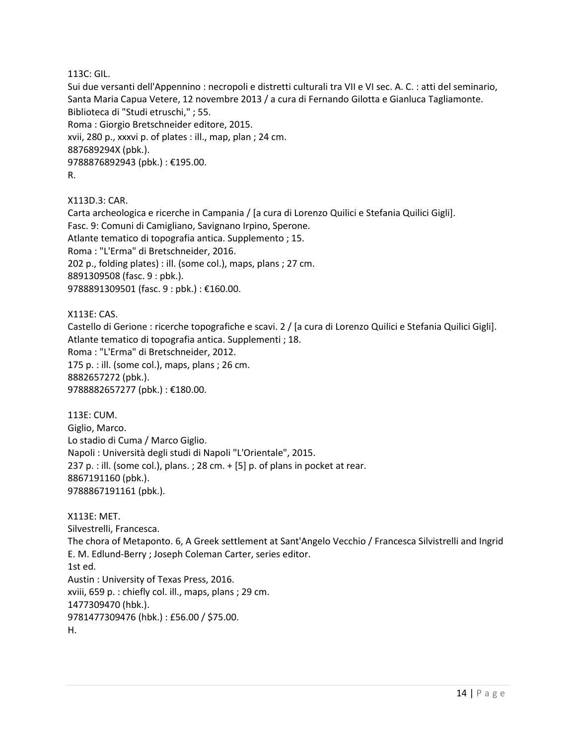113C: GIL.

Sui due versanti dell'Appennino : necropoli e distretti culturali tra VII e VI sec. A. C. : atti del seminario, Santa Maria Capua Vetere, 12 novembre 2013 / a cura di Fernando Gilotta e Gianluca Tagliamonte. Biblioteca di "Studi etruschi," ; 55. Roma : Giorgio Bretschneider editore, 2015. xvii, 280 p., xxxvi p. of plates : ill., map, plan ; 24 cm. 887689294X (pbk.). 9788876892943 (pbk.) : €195.00. R.

X113D.3: CAR.

Carta archeologica e ricerche in Campania / [a cura di Lorenzo Quilici e Stefania Quilici Gigli]. Fasc. 9: Comuni di Camigliano, Savignano Irpino, Sperone. Atlante tematico di topografia antica. Supplemento ; 15. Roma : "L'Erma" di Bretschneider, 2016. 202 p., folding plates) : ill. (some col.), maps, plans ; 27 cm. 8891309508 (fasc. 9 : pbk.). 9788891309501 (fasc. 9 : pbk.) : €160.00.

X113E: CAS. Castello di Gerione : ricerche topografiche e scavi. 2 / [a cura di Lorenzo Quilici e Stefania Quilici Gigli]. Atlante tematico di topografia antica. Supplementi ; 18. Roma : "L'Erma" di Bretschneider, 2012. 175 p. : ill. (some col.), maps, plans ; 26 cm. 8882657272 (pbk.). 9788882657277 (pbk.): €180.00.

113E: CUM. Giglio, Marco. Lo stadio di Cuma / Marco Giglio. Napoli : Università degli studi di Napoli "L'Orientale", 2015. 237 p. : ill. (some col.), plans. ; 28 cm.  $+$  [5] p. of plans in pocket at rear. 8867191160 (pbk.). 9788867191161 (pbk.).

X113E: MET. Silvestrelli, Francesca. The chora of Metaponto. 6, A Greek settlement at Sant'Angelo Vecchio / Francesca Silvistrelli and Ingrid E. M. Edlund-Berry ; Joseph Coleman Carter, series editor. 1st ed. Austin : University of Texas Press, 2016. xviii, 659 p. : chiefly col. ill., maps, plans ; 29 cm. 1477309470 (hbk.). 9781477309476 (hbk.) : £56.00 / \$75.00. H.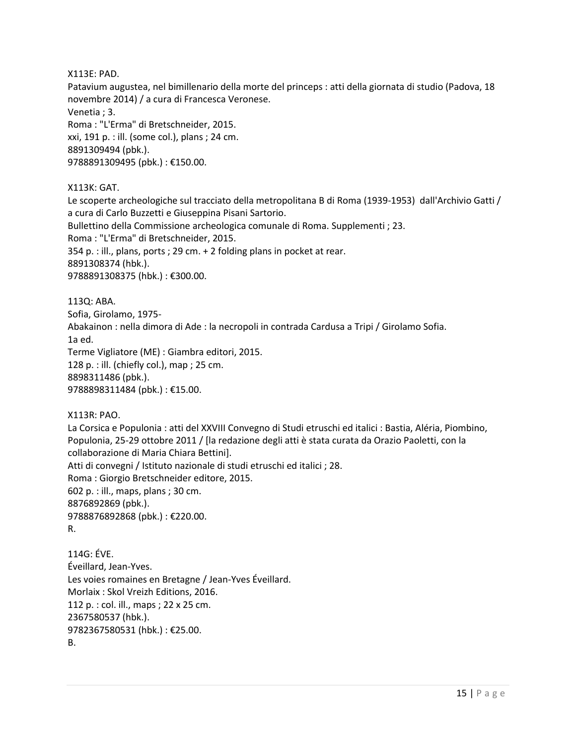X113E: PAD.

Patavium augustea, nel bimillenario della morte del princeps : atti della giornata di studio (Padova, 18 novembre 2014) / a cura di Francesca Veronese.

Venetia ; 3.

Roma : "L'Erma" di Bretschneider, 2015. xxi, 191 p. : ill. (some col.), plans ; 24 cm. 8891309494 (pbk.). 9788891309495 (pbk.): €150.00.

X113K: GAT.

Le scoperte archeologiche sul tracciato della metropolitana B di Roma (1939-1953) dall'Archivio Gatti / a cura di Carlo Buzzetti e Giuseppina Pisani Sartorio. Bullettino della Commissione archeologica comunale di Roma. Supplementi ; 23. Roma : "L'Erma" di Bretschneider, 2015. 354 p. : ill., plans, ports ; 29 cm. + 2 folding plans in pocket at rear. 8891308374 (hbk.). 9788891308375 (hbk.) : €300.00.

113Q: ABA. Sofia, Girolamo, 1975- Abakainon : nella dimora di Ade : la necropoli in contrada Cardusa a Tripi / Girolamo Sofia. 1a ed. Terme Vigliatore (ME) : Giambra editori, 2015. 128 p. : ill. (chiefly col.), map ; 25 cm. 8898311486 (pbk.). 9788898311484 (pbk.) : €15.00.

#### X113R: PAO.

La Corsica e Populonia : atti del XXVIII Convegno di Studi etruschi ed italici : Bastia, Aléria, Piombino, Populonia, 25-29 ottobre 2011 / [la redazione degli atti è stata curata da Orazio Paoletti, con la collaborazione di Maria Chiara Bettini]. Atti di convegni / Istituto nazionale di studi etruschi ed italici ; 28. Roma : Giorgio Bretschneider editore, 2015. 602 p. : ill., maps, plans ; 30 cm. 8876892869 (pbk.). 9788876892868 (pbk.) : €220.00. R.

114G: ÉVE. Éveillard, Jean-Yves. Les voies romaines en Bretagne / Jean-Yves Éveillard. Morlaix : Skol Vreizh Editions, 2016. 112 p. : col. ill., maps ; 22 x 25 cm. 2367580537 (hbk.). 9782367580531 (hbk.) : €25.00. B.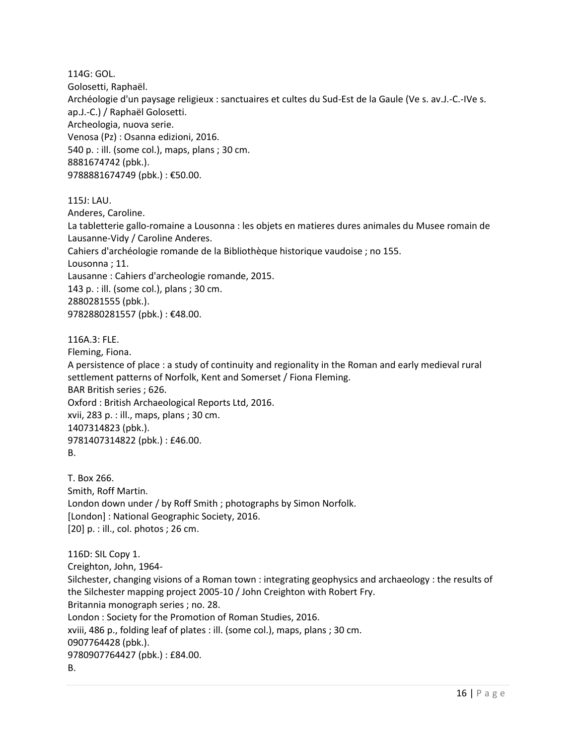114G: GOL. Golosetti, Raphaël. Archéologie d'un paysage religieux : sanctuaires et cultes du Sud-Est de la Gaule (Ve s. av.J.-C.-IVe s. ap.J.-C.) / Raphaël Golosetti. Archeologia, nuova serie. Venosa (Pz) : Osanna edizioni, 2016. 540 p. : ill. (some col.), maps, plans ; 30 cm. 8881674742 (pbk.). 9788881674749 (pbk.) : €50.00.

#### 115J: LAU.

Anderes, Caroline.

La tabletterie gallo-romaine a Lousonna : les objets en matieres dures animales du Musee romain de Lausanne-Vidy / Caroline Anderes. Cahiers d'archéologie romande de la Bibliothèque historique vaudoise ; no 155. Lousonna ; 11.

Lausanne : Cahiers d'archeologie romande, 2015.

143 p. : ill. (some col.), plans ; 30 cm. 2880281555 (pbk.).

9782880281557 (pbk.) : €48.00.

#### 116A.3: FLE.

Fleming, Fiona.

A persistence of place : a study of continuity and regionality in the Roman and early medieval rural settlement patterns of Norfolk, Kent and Somerset / Fiona Fleming.

BAR British series ; 626.

Oxford : British Archaeological Reports Ltd, 2016.

xvii, 283 p. : ill., maps, plans ; 30 cm. 1407314823 (pbk.). 9781407314822 (pbk.) : £46.00.

T. Box 266. Smith, Roff Martin. London down under / by Roff Smith ; photographs by Simon Norfolk. [London] : National Geographic Society, 2016. [20] p. : ill., col. photos ; 26 cm.

116D: SIL Copy 1. Creighton, John, 1964- Silchester, changing visions of a Roman town : integrating geophysics and archaeology : the results of the Silchester mapping project 2005-10 / John Creighton with Robert Fry. Britannia monograph series ; no. 28. London : Society for the Promotion of Roman Studies, 2016. xviii, 486 p., folding leaf of plates : ill. (some col.), maps, plans ; 30 cm. 0907764428 (pbk.). 9780907764427 (pbk.) : £84.00. B.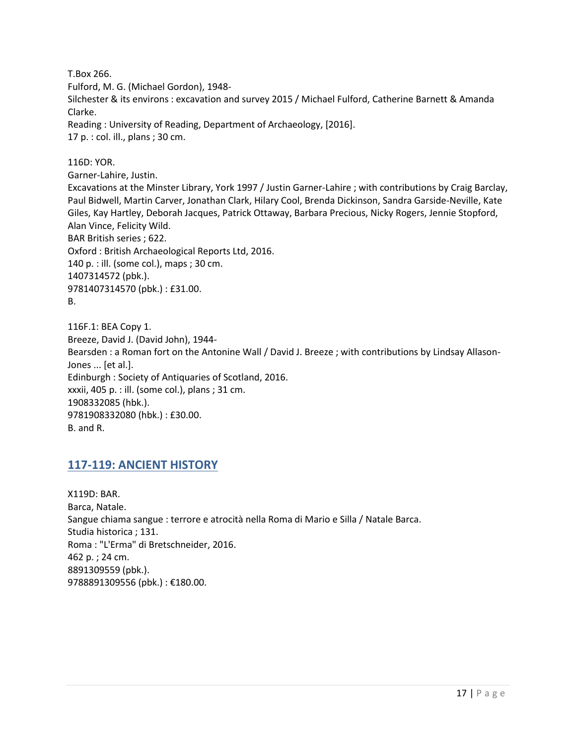T.Box 266.

Fulford, M. G. (Michael Gordon), 1948-

Silchester & its environs : excavation and survey 2015 / Michael Fulford, Catherine Barnett & Amanda Clarke.

Reading : University of Reading, Department of Archaeology, [2016]. 17 p. : col. ill., plans ; 30 cm.

116D: YOR.

Garner-Lahire, Justin.

Excavations at the Minster Library, York 1997 / Justin Garner-Lahire ; with contributions by Craig Barclay, Paul Bidwell, Martin Carver, Jonathan Clark, Hilary Cool, Brenda Dickinson, Sandra Garside-Neville, Kate Giles, Kay Hartley, Deborah Jacques, Patrick Ottaway, Barbara Precious, Nicky Rogers, Jennie Stopford, Alan Vince, Felicity Wild. BAR British series ; 622. Oxford : British Archaeological Reports Ltd, 2016. 140 p. : ill. (some col.), maps ; 30 cm. 1407314572 (pbk.). 9781407314570 (pbk.) : £31.00.

B.

116F.1: BEA Copy 1. Breeze, David J. (David John), 1944- Bearsden : a Roman fort on the Antonine Wall / David J. Breeze ; with contributions by Lindsay Allason-Jones ... [et al.]. Edinburgh : Society of Antiquaries of Scotland, 2016. xxxii, 405 p. : ill. (some col.), plans ; 31 cm. 1908332085 (hbk.). 9781908332080 (hbk.) : £30.00. B. and R.

## <span id="page-16-0"></span>**117-119: ANCIENT HISTORY**

X119D: BAR. Barca, Natale. Sangue chiama sangue : terrore e atrocità nella Roma di Mario e Silla / Natale Barca. Studia historica ; 131. Roma : "L'Erma" di Bretschneider, 2016. 462 p. ; 24 cm. 8891309559 (pbk.). 9788891309556 (pbk.) : €180.00.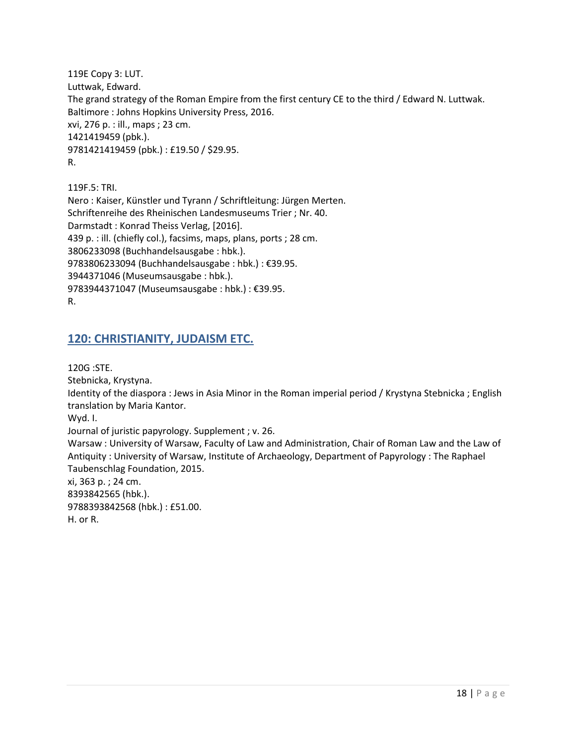119E Copy 3: LUT. Luttwak, Edward. The grand strategy of the Roman Empire from the first century CE to the third / Edward N. Luttwak. Baltimore : Johns Hopkins University Press, 2016. xvi, 276 p. : ill., maps ; 23 cm. 1421419459 (pbk.). 9781421419459 (pbk.) : £19.50 / \$29.95. R.

119F.5: TRI. Nero : Kaiser, Künstler und Tyrann / Schriftleitung: Jürgen Merten. Schriftenreihe des Rheinischen Landesmuseums Trier ; Nr. 40. Darmstadt : Konrad Theiss Verlag, [2016]. 439 p. : ill. (chiefly col.), facsims, maps, plans, ports ; 28 cm. 3806233098 (Buchhandelsausgabe : hbk.). 9783806233094 (Buchhandelsausgabe : hbk.) : €39.95. 3944371046 (Museumsausgabe : hbk.). 9783944371047 (Museumsausgabe : hbk.) : €39.95. R.

### <span id="page-17-0"></span>**120: CHRISTIANITY, JUDAISM ETC.**

120G :STE.

Stebnicka, Krystyna.

Identity of the diaspora : Jews in Asia Minor in the Roman imperial period / Krystyna Stebnicka ; English translation by Maria Kantor.

Wyd. I.

Journal of juristic papyrology. Supplement ; v. 26.

Warsaw : University of Warsaw, Faculty of Law and Administration, Chair of Roman Law and the Law of Antiquity : University of Warsaw, Institute of Archaeology, Department of Papyrology : The Raphael Taubenschlag Foundation, 2015.

xi, 363 p. ; 24 cm. 8393842565 (hbk.). 9788393842568 (hbk.) : £51.00. H. or R.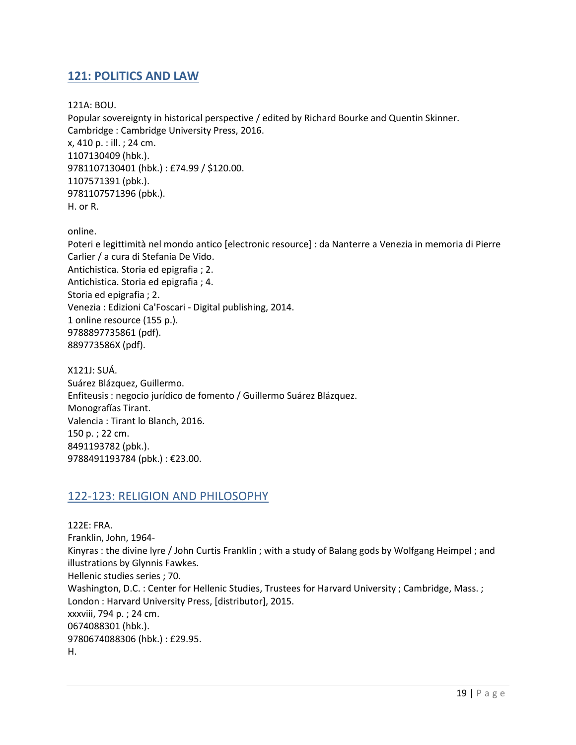## <span id="page-18-0"></span>**121: POLITICS AND LAW**

121A: BOU.

Popular sovereignty in historical perspective / edited by Richard Bourke and Quentin Skinner. Cambridge : Cambridge University Press, 2016. x, 410 p. : ill. ; 24 cm. 1107130409 (hbk.). 9781107130401 (hbk.) : £74.99 / \$120.00. 1107571391 (pbk.). 9781107571396 (pbk.). H. or R.

online.

Poteri e legittimità nel mondo antico [electronic resource] : da Nanterre a Venezia in memoria di Pierre Carlier / a cura di Stefania De Vido. Antichistica. Storia ed epigrafia ; 2. Antichistica. Storia ed epigrafia ; 4. Storia ed epigrafia ; 2. Venezia : Edizioni Ca'Foscari - Digital publishing, 2014. 1 online resource (155 p.). 9788897735861 (pdf). 889773586X (pdf).

X121J: SUÁ. Suárez Blázquez, Guillermo. Enfiteusis : negocio jurídico de fomento / Guillermo Suárez Blázquez. Monografías Tirant. Valencia : Tirant lo Blanch, 2016. 150 p. ; 22 cm. 8491193782 (pbk.). 9788491193784 (pbk.) : €23.00.

### <span id="page-18-1"></span>122-123: RELIGION AND PHILOSOPHY

122E: FRA. Franklin, John, 1964- Kinyras : the divine lyre / John Curtis Franklin ; with a study of Balang gods by Wolfgang Heimpel ; and illustrations by Glynnis Fawkes. Hellenic studies series ; 70. Washington, D.C. : Center for Hellenic Studies, Trustees for Harvard University ; Cambridge, Mass. ; London : Harvard University Press, [distributor], 2015. xxxviii, 794 p. ; 24 cm. 0674088301 (hbk.). 9780674088306 (hbk.) : £29.95. H.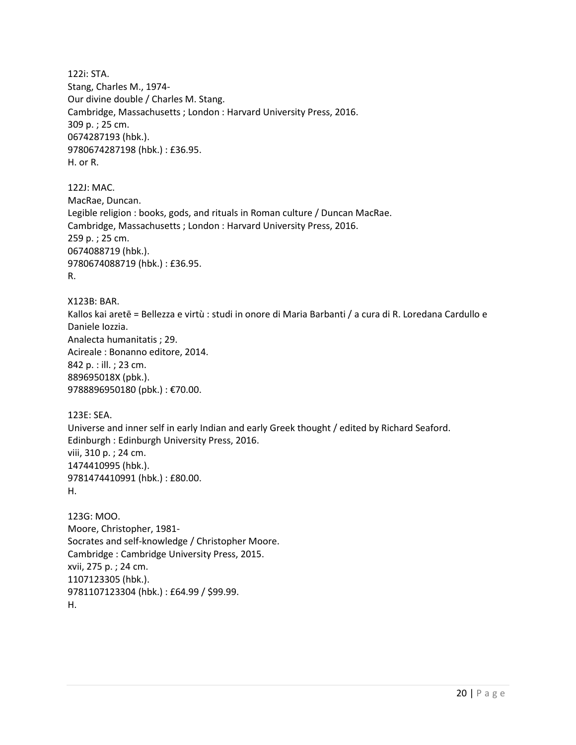122i: STA. Stang, Charles M., 1974- Our divine double / Charles M. Stang. Cambridge, Massachusetts ; London : Harvard University Press, 2016. 309 p. ; 25 cm. 0674287193 (hbk.). 9780674287198 (hbk.) : £36.95. H. or R. 122J: MAC. MacRae, Duncan. Legible religion : books, gods, and rituals in Roman culture / Duncan MacRae. Cambridge, Massachusetts ; London : Harvard University Press, 2016. 259 p. ; 25 cm. 0674088719 (hbk.). 9780674088719 (hbk.) : £36.95. R. X123B: BAR. Kallos kai aretē = Bellezza e virtù : studi in onore di Maria Barbanti / a cura di R. Loredana Cardullo e Daniele Iozzia. Analecta humanitatis ; 29. Acireale : Bonanno editore, 2014. 842 p. : ill. ; 23 cm. 889695018X (pbk.). 9788896950180 (pbk.) : €70.00. 123E: SEA. Universe and inner self in early Indian and early Greek thought / edited by Richard Seaford. Edinburgh : Edinburgh University Press, 2016. viii, 310 p. ; 24 cm. 1474410995 (hbk.). 9781474410991 (hbk.) : £80.00. H. 123G: MOO. Moore, Christopher, 1981- Socrates and self-knowledge / Christopher Moore. Cambridge : Cambridge University Press, 2015. xvii, 275 p. ; 24 cm. 1107123305 (hbk.). 9781107123304 (hbk.) : £64.99 / \$99.99.

H.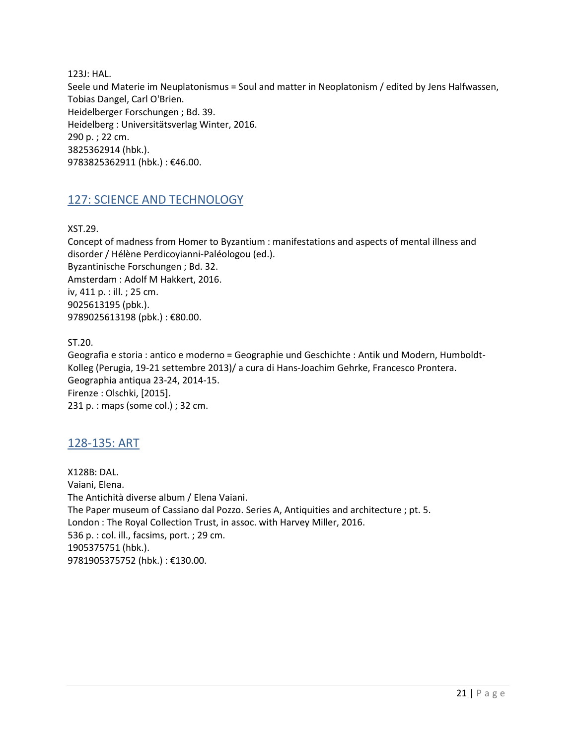123J: HAL. Seele und Materie im Neuplatonismus = Soul and matter in Neoplatonism / edited by Jens Halfwassen, Tobias Dangel, Carl O'Brien. Heidelberger Forschungen ; Bd. 39. Heidelberg : Universitätsverlag Winter, 2016. 290 p. ; 22 cm. 3825362914 (hbk.). 9783825362911 (hbk.) : €46.00.

## <span id="page-20-0"></span>127: SCIENCE AND TECHNOLOGY

XST.29.

Concept of madness from Homer to Byzantium : manifestations and aspects of mental illness and disorder / Hélène Perdicoyianni-Paléologou (ed.). Byzantinische Forschungen ; Bd. 32. Amsterdam : Adolf M Hakkert, 2016. iv, 411 p. : ill. ; 25 cm. 9025613195 (pbk.). 9789025613198 (pbk.): €80.00.

ST.20.

Geografia e storia : antico e moderno = Geographie und Geschichte : Antik und Modern, Humboldt-Kolleg (Perugia, 19-21 settembre 2013)/ a cura di Hans-Joachim Gehrke, Francesco Prontera. Geographia antiqua 23-24, 2014-15. Firenze : Olschki, [2015]. 231 p. : maps (some col.) ; 32 cm.

### <span id="page-20-1"></span>128-135: ART

X128B: DAL. Vaiani, Elena. The Antichità diverse album / Elena Vaiani. The Paper museum of Cassiano dal Pozzo. Series A, Antiquities and architecture ; pt. 5. London : The Royal Collection Trust, in assoc. with Harvey Miller, 2016. 536 p. : col. ill., facsims, port. ; 29 cm. 1905375751 (hbk.). 9781905375752 (hbk.) : €130.00.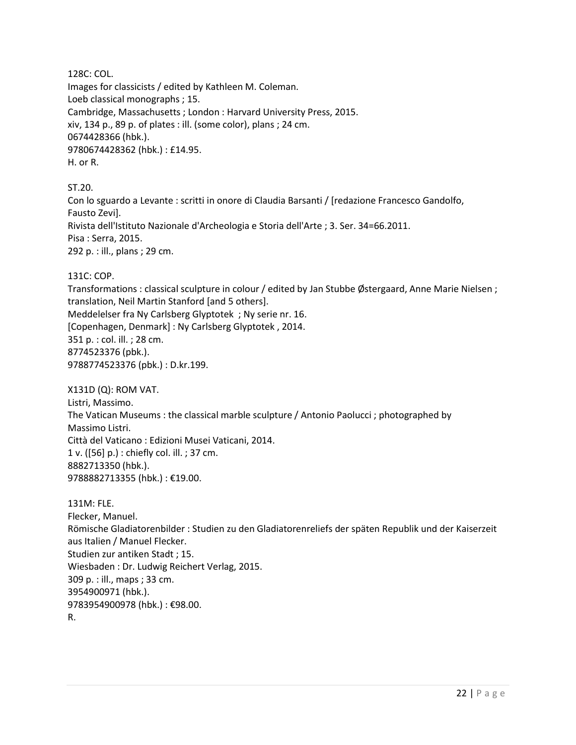128C: COL.

Images for classicists / edited by Kathleen M. Coleman. Loeb classical monographs ; 15. Cambridge, Massachusetts ; London : Harvard University Press, 2015. xiv, 134 p., 89 p. of plates : ill. (some color), plans ; 24 cm. 0674428366 (hbk.). 9780674428362 (hbk.) : £14.95. H. or R.

#### ST.20.

Con lo sguardo a Levante : scritti in onore di Claudia Barsanti / [redazione Francesco Gandolfo, Fausto Zevi]. Rivista dell'Istituto Nazionale d'Archeologia e Storia dell'Arte ; 3. Ser. 34=66.2011. Pisa : Serra, 2015. 292 p. : ill., plans ; 29 cm.

#### 131C: COP.

Transformations : classical sculpture in colour / edited by Jan Stubbe Østergaard, Anne Marie Nielsen ; translation, Neil Martin Stanford [and 5 others]. Meddelelser fra Ny Carlsberg Glyptotek ; Ny serie nr. 16. [Copenhagen, Denmark] : Ny Carlsberg Glyptotek , 2014. 351 p. : col. ill. ; 28 cm. 8774523376 (pbk.). 9788774523376 (pbk.) : D.kr.199.

X131D (Q): ROM VAT.

Listri, Massimo. The Vatican Museums : the classical marble sculpture / Antonio Paolucci ; photographed by Massimo Listri. Città del Vaticano : Edizioni Musei Vaticani, 2014. 1 v. ([56] p.) : chiefly col. ill. ; 37 cm. 8882713350 (hbk.). 9788882713355 (hbk.) : €19.00.

#### 131M: FLE.

Flecker, Manuel. Römische Gladiatorenbilder : Studien zu den Gladiatorenreliefs der späten Republik und der Kaiserzeit aus Italien / Manuel Flecker. Studien zur antiken Stadt ; 15. Wiesbaden : Dr. Ludwig Reichert Verlag, 2015. 309 p. : ill., maps ; 33 cm. 3954900971 (hbk.). 9783954900978 (hbk.) : €98.00. R.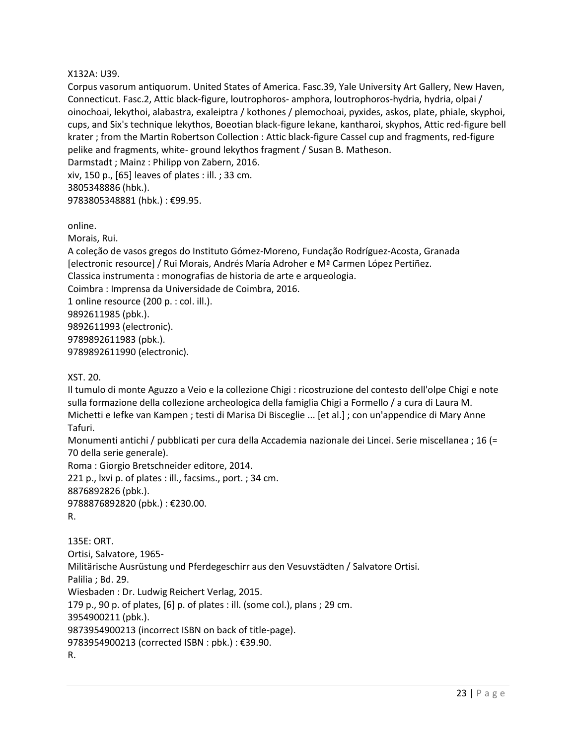#### X132A: U39.

Corpus vasorum antiquorum. United States of America. Fasc.39, Yale University Art Gallery, New Haven, Connecticut. Fasc.2, Attic black-figure, loutrophoros- amphora, loutrophoros-hydria, hydria, olpai / oinochoai, lekythoi, alabastra, exaleiptra / kothones / plemochoai, pyxides, askos, plate, phiale, skyphoi, cups, and Six's technique lekythos, Boeotian black-figure lekane, kantharoi, skyphos, Attic red-figure bell krater ; from the Martin Robertson Collection : Attic black-figure Cassel cup and fragments, red-figure pelike and fragments, white- ground lekythos fragment / Susan B. Matheson. Darmstadt ; Mainz : Philipp von Zabern, 2016.

xiv, 150 p., [65] leaves of plates : ill. ; 33 cm. 3805348886 (hbk.). 9783805348881 (hbk.) : €99.95.

online.

Morais, Rui.

A coleção de vasos gregos do Instituto Gómez-Moreno, Fundação Rodríguez-Acosta, Granada [electronic resource] / Rui Morais, Andrés María Adroher e Mª Carmen López Pertiñez. Classica instrumenta : monografias de historia de arte e arqueologia. Coimbra : Imprensa da Universidade de Coimbra, 2016. 1 online resource (200 p. : col. ill.).

9892611985 (pbk.). 9892611993 (electronic). 9789892611983 (pbk.). 9789892611990 (electronic).

XST. 20.

Il tumulo di monte Aguzzo a Veio e la collezione Chigi : ricostruzione del contesto dell'olpe Chigi e note sulla formazione della collezione archeologica della famiglia Chigi a Formello / a cura di Laura M. Michetti e Iefke van Kampen ; testi di Marisa Di Bisceglie ... [et al.] ; con un'appendice di Mary Anne Tafuri.

Monumenti antichi / pubblicati per cura della Accademia nazionale dei Lincei. Serie miscellanea ; 16 (= 70 della serie generale).

Roma : Giorgio Bretschneider editore, 2014.

221 p., lxvi p. of plates : ill., facsims., port. ; 34 cm. 8876892826 (pbk.). 9788876892820 (pbk.) : €230.00.

R.

135E: ORT. Ortisi, Salvatore, 1965- Militärische Ausrüstung und Pferdegeschirr aus den Vesuvstädten / Salvatore Ortisi. Palilia ; Bd. 29. Wiesbaden : Dr. Ludwig Reichert Verlag, 2015. 179 p., 90 p. of plates, [6] p. of plates : ill. (some col.), plans ; 29 cm. 3954900211 (pbk.). 9873954900213 (incorrect ISBN on back of title-page). 9783954900213 (corrected ISBN : pbk.) : €39.90. R.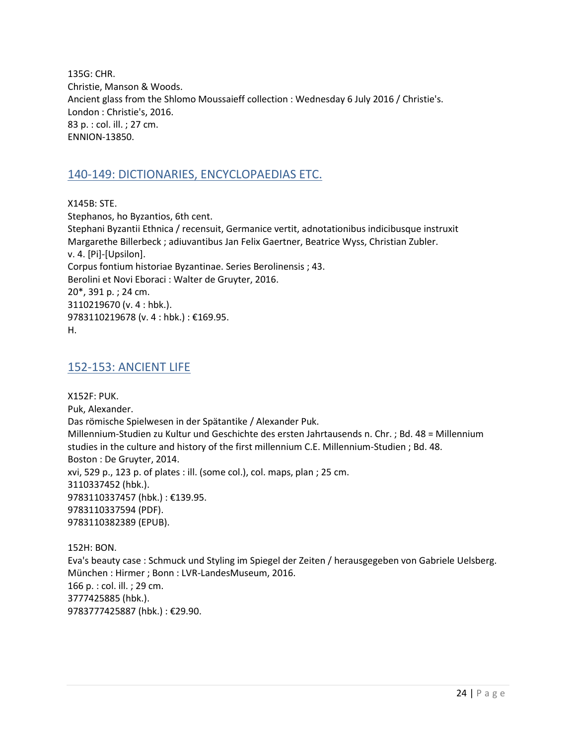135G: CHR. Christie, Manson & Woods. Ancient glass from the Shlomo Moussaieff collection : Wednesday 6 July 2016 / Christie's. London : Christie's, 2016. 83 p. : col. ill. ; 27 cm. ENNION-13850.

## <span id="page-23-0"></span>140-149: DICTIONARIES, ENCYCLOPAEDIAS ETC.

X145B: STE. Stephanos, ho Byzantios, 6th cent. Stephani Byzantii Ethnica / recensuit, Germanice vertit, adnotationibus indicibusque instruxit Margarethe Billerbeck ; adiuvantibus Jan Felix Gaertner, Beatrice Wyss, Christian Zubler. v. 4. [Pi]-[Upsilon]. Corpus fontium historiae Byzantinae. Series Berolinensis ; 43. Berolini et Novi Eboraci : Walter de Gruyter, 2016. 20\*, 391 p. ; 24 cm. 3110219670 (v. 4 : hbk.). 9783110219678 (v. 4 : hbk.) : €169.95. H.

#### <span id="page-23-1"></span>152-153: ANCIENT LIFE

X152F: PUK. Puk, Alexander. Das römische Spielwesen in der Spätantike / Alexander Puk. Millennium-Studien zu Kultur und Geschichte des ersten Jahrtausends n. Chr. ; Bd. 48 = Millennium studies in the culture and history of the first millennium C.E. Millennium-Studien ; Bd. 48. Boston : De Gruyter, 2014. xvi, 529 p., 123 p. of plates : ill. (some col.), col. maps, plan ; 25 cm. 3110337452 (hbk.). 9783110337457 (hbk.) : €139.95. 9783110337594 (PDF). 9783110382389 (EPUB).

152H: BON. Eva's beauty case : Schmuck und Styling im Spiegel der Zeiten / herausgegeben von Gabriele Uelsberg. München : Hirmer ; Bonn : LVR-LandesMuseum, 2016. 166 p. : col. ill. ; 29 cm. 3777425885 (hbk.). 9783777425887 (hbk.) : €29.90.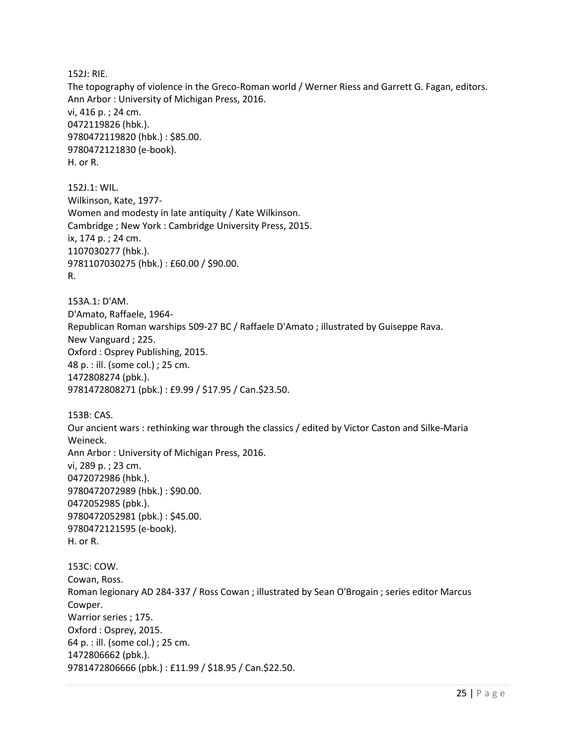152J: RIE.

The topography of violence in the Greco-Roman world / Werner Riess and Garrett G. Fagan, editors. Ann Arbor : University of Michigan Press, 2016. vi, 416 p. ; 24 cm. 0472119826 (hbk.). 9780472119820 (hbk.) : \$85.00. 9780472121830 (e-book). H. or R.

152J.1: WIL. Wilkinson, Kate, 1977- Women and modesty in late antiquity / Kate Wilkinson. Cambridge ; New York : Cambridge University Press, 2015. ix, 174 p. ; 24 cm. 1107030277 (hbk.). 9781107030275 (hbk.) : £60.00 / \$90.00. R.

153A.1: D'AM. D'Amato, Raffaele, 1964- Republican Roman warships 509-27 BC / Raffaele D'Amato ; illustrated by Guiseppe Rava. New Vanguard ; 225. Oxford : Osprey Publishing, 2015. 48 p. : ill. (some col.) ; 25 cm. 1472808274 (pbk.). 9781472808271 (pbk.) : £9.99 / \$17.95 / Can.\$23.50.

153B: CAS. Our ancient wars : rethinking war through the classics / edited by Victor Caston and Silke-Maria Weineck. Ann Arbor : University of Michigan Press, 2016. vi, 289 p. ; 23 cm. 0472072986 (hbk.). 9780472072989 (hbk.) : \$90.00. 0472052985 (pbk.). 9780472052981 (pbk.) : \$45.00. 9780472121595 (e-book). H. or R. 153C: COW.

Cowan, Ross. Roman legionary AD 284-337 / Ross Cowan ; illustrated by Sean O'Brogain ; series editor Marcus Cowper. Warrior series ; 175. Oxford : Osprey, 2015. 64 p. : ill. (some col.) ; 25 cm. 1472806662 (pbk.). 9781472806666 (pbk.) : £11.99 / \$18.95 / Can.\$22.50.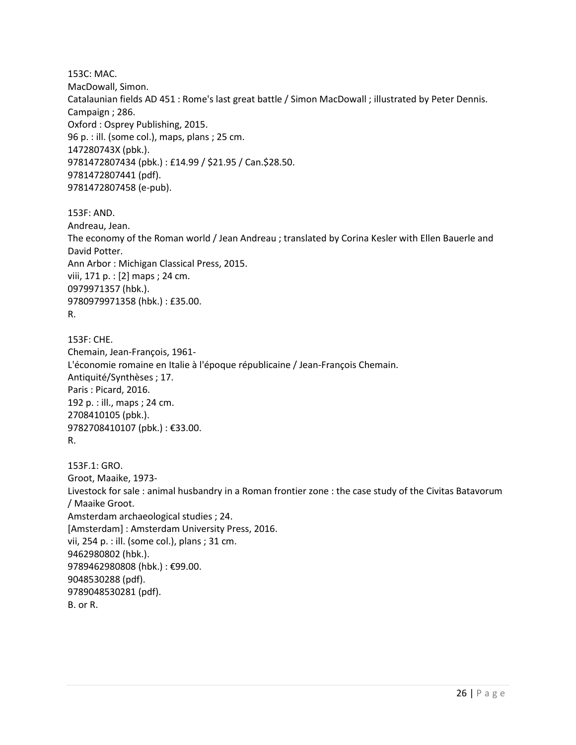153C: MAC. MacDowall, Simon. Catalaunian fields AD 451 : Rome's last great battle / Simon MacDowall ; illustrated by Peter Dennis. Campaign ; 286. Oxford : Osprey Publishing, 2015. 96 p. : ill. (some col.), maps, plans ; 25 cm. 147280743X (pbk.). 9781472807434 (pbk.) : £14.99 / \$21.95 / Can.\$28.50. 9781472807441 (pdf). 9781472807458 (e-pub).

153F: AND. Andreau, Jean. The economy of the Roman world / Jean Andreau ; translated by Corina Kesler with Ellen Bauerle and David Potter. Ann Arbor : Michigan Classical Press, 2015. viii, 171 p. : [2] maps ; 24 cm. 0979971357 (hbk.). 9780979971358 (hbk.) : £35.00. R.

153F: CHE. Chemain, Jean-François, 1961- L'économie romaine en Italie à l'époque républicaine / Jean-François Chemain. Antiquité/Synthèses ; 17. Paris : Picard, 2016. 192 p. : ill., maps ; 24 cm. 2708410105 (pbk.). 9782708410107 (pbk.) : €33.00. R.

153F.1: GRO. Groot, Maaike, 1973- Livestock for sale : animal husbandry in a Roman frontier zone : the case study of the Civitas Batavorum / Maaike Groot. Amsterdam archaeological studies ; 24. [Amsterdam] : Amsterdam University Press, 2016. vii, 254 p. : ill. (some col.), plans ; 31 cm. 9462980802 (hbk.). 9789462980808 (hbk.) : €99.00. 9048530288 (pdf). 9789048530281 (pdf). B. or R.